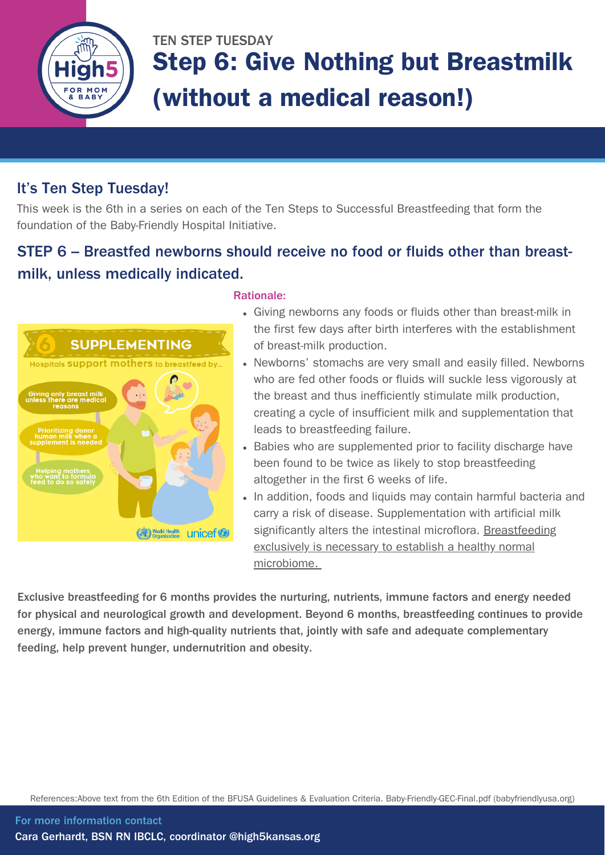

# TEN STEP TUESDAY Step 6: Give Nothing but Breastmilk (without a medical reason!)

### It's Ten Step Tuesday!

This week is the 6th in a series on each of the Ten Steps to Successful Breastfeeding that form the foundation of the Baby-Friendly Hospital Initiative.

## STEP 6 - Breastfed newborns should receive no food or fluids other than breastmilk, unless medically indicated.



### Rationale:

- Giving newborns any foods or fluids other than breast-milk in the first few days after birth interferes with the establishment of breast-milk production.
- Newborns' stomachs are very small and easily filled. Newborns who are fed other foods or fluids will suckle less vigorously at the breast and thus inefficiently stimulate milk production, creating a cycle of insufficient milk and supplementation that leads to breastfeeding failure.
- Babies who are supplemented prior to facility discharge have been found to be twice as likely to stop breastfeeding altogether in the first 6 weeks of life.
- In addition, foods and liquids may contain harmful bacteria and carry a risk of disease. Supplementation with artificial milk significantly alters the intestinal microflora. Breastfeeding exclusively is necessary to establish a healthy normal microbiome.

Exclusive breastfeeding for 6 months provides the nurturing, nutrients, immune factors and energy needed for physical and neurological growth and development. Beyond 6 months, breastfeeding continues to provide energy, immune factors and high-quality nutrients that, jointly with safe and adequate complementary feeding, help prevent hunger, undernutrition and obesity.